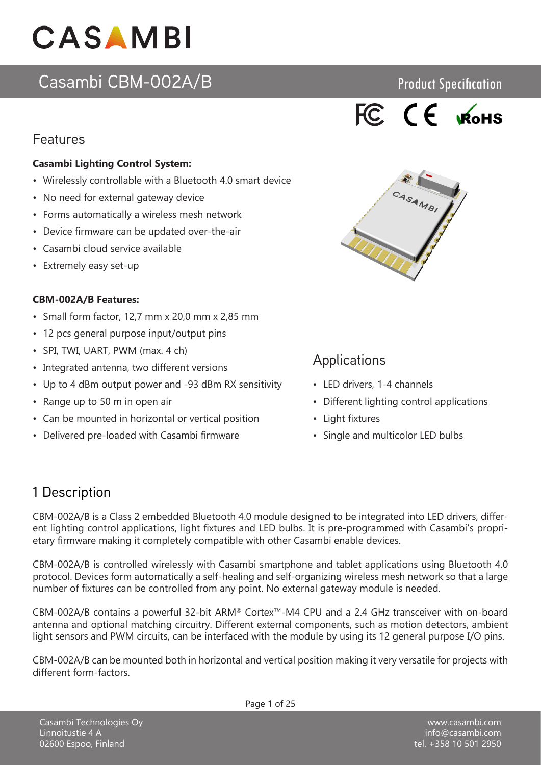# Casambi CBM-002A/B

### Features

### **Casambi Lighting Control System:**

- Wirelessly controllable with a Bluetooth 4.0 smart device
- No need for external gateway device
- Forms automatically a wireless mesh network
- Device firmware can be updated over-the-air
- Casambi cloud service available
- Extremely easy set-up

### **CBM-002A/B Features:**

- Small form factor, 12,7 mm x 20,0 mm x 2,85 mm
- 12 pcs general purpose input/output pins
- SPI, TWI, UART, PWM (max. 4 ch)
- Integrated antenna, two different versions
- Up to 4 dBm output power and -93 dBm RX sensitivity
- Range up to 50 m in open air
- Can be mounted in horizontal or vertical position
- Delivered pre-loaded with Casambi firmware



Product Specification



### **Applications**

- LED drivers, 1-4 channels
- Different lighting control applications
- Light fixtures
- Single and multicolor LED bulbs

### 1 Description

CBM-002A/B is a Class 2 embedded Bluetooth 4.0 module designed to be integrated into LED drivers, different lighting control applications, light fixtures and LED bulbs. It is pre-programmed with Casambi's proprietary firmware making it completely compatible with other Casambi enable devices.

CBM-002A/B is controlled wirelessly with Casambi smartphone and tablet applications using Bluetooth 4.0 protocol. Devices form automatically a self-healing and self-organizing wireless mesh network so that a large number of fixtures can be controlled from any point. No external gateway module is needed.

CBM-002A/B contains a powerful 32-bit ARM® Cortex™-M4 CPU and a 2.4 GHz transceiver with on-board antenna and optional matching circuitry. Different external components, such as motion detectors, ambient light sensors and PWM circuits, can be interfaced with the module by using its 12 general purpose I/O pins.

CBM-002A/B can be mounted both in horizontal and vertical position making it very versatile for projects with different form-factors.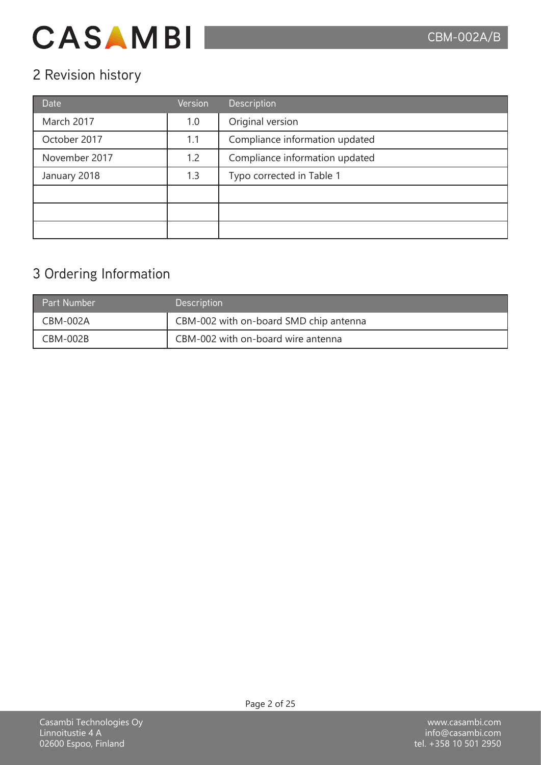## 2 Revision history

| <b>Date</b>   | <b>Version</b> | Description                    |
|---------------|----------------|--------------------------------|
| March 2017    | 1.0            | Original version               |
| October 2017  | 1.1            | Compliance information updated |
| November 2017 | 1.2            | Compliance information updated |
| January 2018  | 1.3            | Typo corrected in Table 1      |
|               |                |                                |
|               |                |                                |
|               |                |                                |

## 3 Ordering Information

| <b>Part Number</b> | <b>Description</b>                     |
|--------------------|----------------------------------------|
| CBM-002A           | CBM-002 with on-board SMD chip antenna |
| CBM-002B           | CBM-002 with on-board wire antenna     |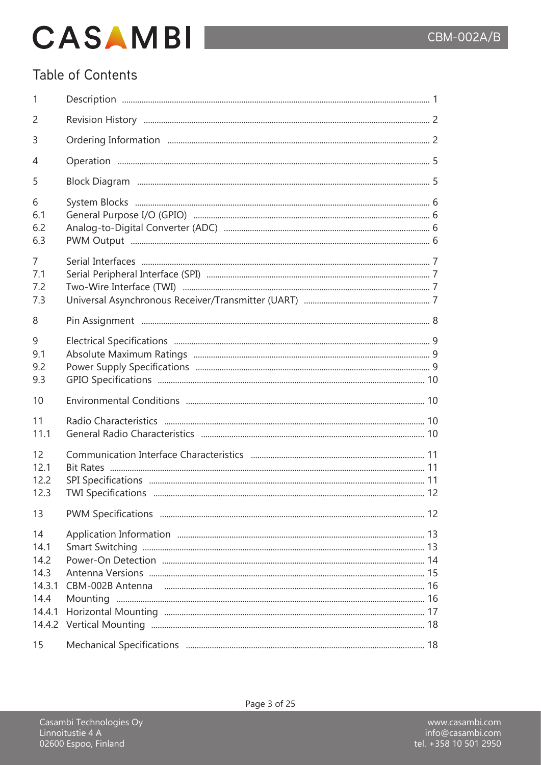### Table of Contents

| 1                                                                |  |
|------------------------------------------------------------------|--|
| 2                                                                |  |
| 3                                                                |  |
| 4                                                                |  |
| 5                                                                |  |
| 6<br>6.1<br>6.2<br>6.3                                           |  |
| $\overline{7}$<br>7.1<br>7.2<br>7.3                              |  |
| 8                                                                |  |
| 9<br>9.1<br>9.2<br>9.3                                           |  |
| 10                                                               |  |
| 11<br>11.1                                                       |  |
| 12<br>12.1<br>12.2<br>12.3                                       |  |
| 13                                                               |  |
| 14<br>14.1<br>14.2<br>14.3<br>14.3.1<br>14.4<br>14.4.1<br>14.4.2 |  |
| 15                                                               |  |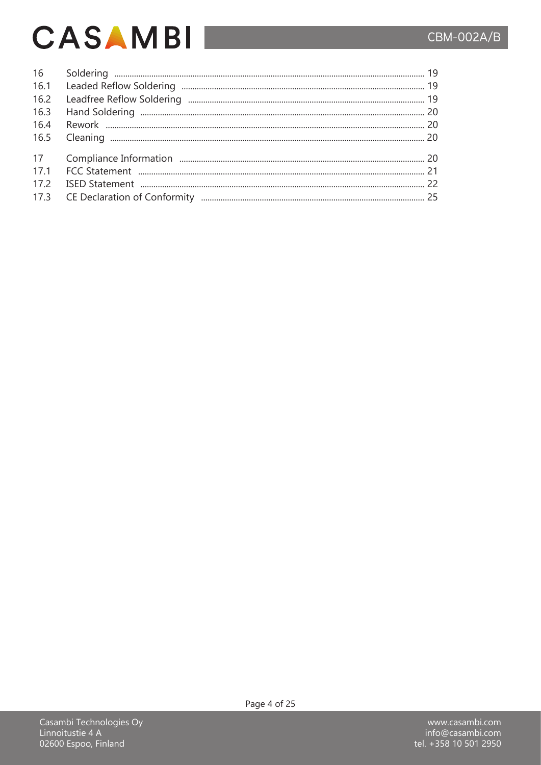# CBM-002A/B

# **CASAMBI**

| 16   |  |
|------|--|
| 16.1 |  |
| 16.2 |  |
| 16.3 |  |
| 16.4 |  |
| 16.5 |  |
| 17   |  |
| 17.1 |  |
| 17.2 |  |
| 17.3 |  |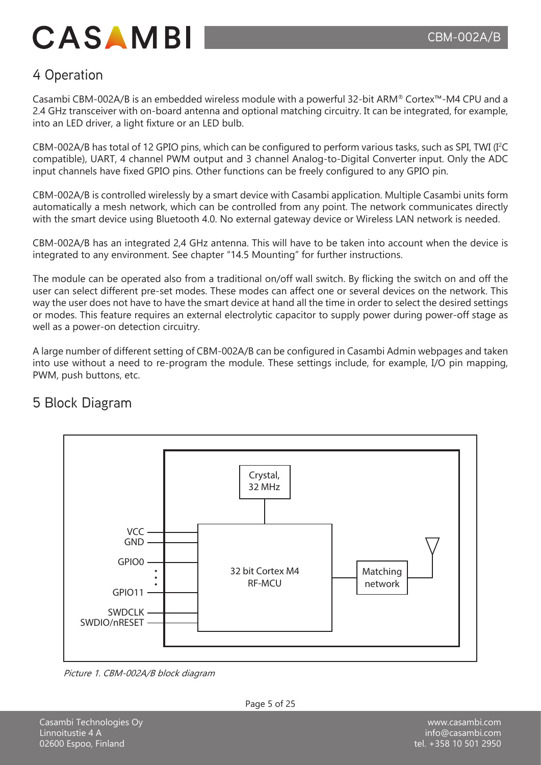### 4 Operation

Casambi CBM-002A/B is an embedded wireless module with a powerful 32-bit ARM® Cortex™-M4 CPU and a 2.4 GHz transceiver with on-board antenna and optional matching circuitry. It can be integrated, for example, into an LED driver, a light fixture or an LED bulb.

CBM-002A/B has total of 12 GPIO pins, which can be configured to perform various tasks, such as SPI, TWI (I<sup>2</sup> C compatible), UART, 4 channel PWM output and 3 channel Analog-to-Digital Converter input. Only the ADC input channels have fixed GPIO pins. Other functions can be freely configured to any GPIO pin.

CBM-002A/B is controlled wirelessly by a smart device with Casambi application. Multiple Casambi units form automatically a mesh network, which can be controlled from any point. The network communicates directly with the smart device using Bluetooth 4.0. No external gateway device or Wireless LAN network is needed.

CBM-002A/B has an integrated 2,4 GHz antenna. This will have to be taken into account when the device is integrated to any environment. See chapter "14.5 Mounting" for further instructions.

The module can be operated also from a traditional on/off wall switch. By flicking the switch on and off the user can select different pre-set modes. These modes can affect one or several devices on the network. This way the user does not have to have the smart device at hand all the time in order to select the desired settings or modes. This feature requires an external electrolytic capacitor to supply power during power-off stage as well as a power-on detection circuitry.

A large number of different setting of CBM-002A/B can be configured in Casambi Admin webpages and taken into use without a need to re-program the module. These settings include, for example, I/O pin mapping, PWM, push buttons, etc.

# Crystal, 32 MHz Matching network 32 bit Cortex M4 RF-MCU V<sub>C</sub> GND GPIO0 GPIO11 SWDCLK SWDIO/nRESET

### 5 Block Diagram

Picture 1. CBM-002A/B block diagram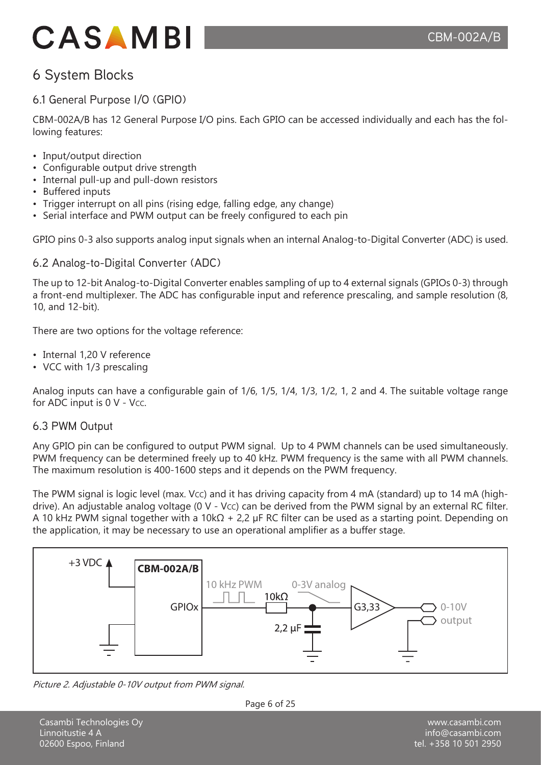### 6 System Blocks

### 6.1 General Purpose I/O (GPIO)

CBM-002A/B has 12 General Purpose I/O pins. Each GPIO can be accessed individually and each has the following features:

- Input/output direction
- Configurable output drive strength
- Internal pull-up and pull-down resistors
- Buffered inputs
- Trigger interrupt on all pins (rising edge, falling edge, any change)
- Serial interface and PWM output can be freely configured to each pin

GPIO pins 0-3 also supports analog input signals when an internal Analog-to-Digital Converter (ADC) is used.

### 6.2 Analog-to-Digital Converter (ADC)

The up to 12-bit Analog-to-Digital Converter enables sampling of up to 4 external signals (GPIOs 0-3) through a front-end multiplexer. The ADC has configurable input and reference prescaling, and sample resolution (8, 10, and 12-bit).

There are two options for the voltage reference:

- Internal 1,20 V reference
- VCC with 1/3 prescaling

Analog inputs can have a configurable gain of 1/6, 1/5, 1/4, 1/3, 1/2, 1, 2 and 4. The suitable voltage range for ADC input is  $0 \vee - \vee$ cc.

#### 6.3 PWM Output

Any GPIO pin can be configured to output PWM signal. Up to 4 PWM channels can be used simultaneously. PWM frequency can be determined freely up to 40 kHz. PWM frequency is the same with all PWM channels. The maximum resolution is 400-1600 steps and it depends on the PWM frequency.

The PWM signal is logic level (max. Vcc) and it has driving capacity from 4 mA (standard) up to 14 mA (highdrive). An adjustable analog voltage (0 V - Vcc) can be derived from the PWM signal by an external RC filter. A 10 kHz PWM signal together with a 10kΩ + 2,2 µF RC filter can be used as a starting point. Depending on the application, it may be necessary to use an operational amplifier as a buffer stage.



Picture 2. Adjustable 0-10V output from PWM signal.

Page 6 of 25

Casambi Technologies Oy Linnoitustie 4 A 02600 Espoo, Finland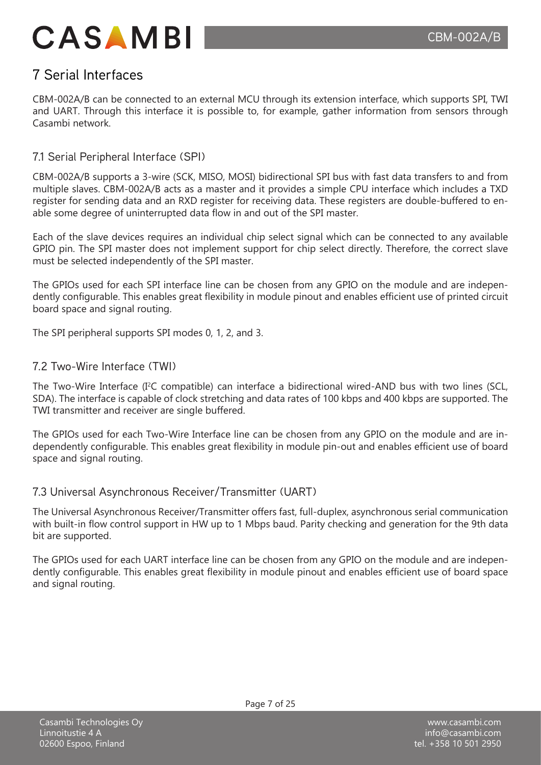

### 7 Serial Interfaces

CBM-002A/B can be connected to an external MCU through its extension interface, which supports SPI, TWI and UART. Through this interface it is possible to, for example, gather information from sensors through Casambi network.

#### 7.1 Serial Peripheral Interface (SPI)

CBM-002A/B supports a 3-wire (SCK, MISO, MOSI) bidirectional SPI bus with fast data transfers to and from multiple slaves. CBM-002A/B acts as a master and it provides a simple CPU interface which includes a TXD register for sending data and an RXD register for receiving data. These registers are double-buffered to enable some degree of uninterrupted data flow in and out of the SPI master.

Each of the slave devices requires an individual chip select signal which can be connected to any available GPIO pin. The SPI master does not implement support for chip select directly. Therefore, the correct slave must be selected independently of the SPI master.

The GPIOs used for each SPI interface line can be chosen from any GPIO on the module and are independently configurable. This enables great flexibility in module pinout and enables efficient use of printed circuit board space and signal routing.

The SPI peripheral supports SPI modes 0, 1, 2, and 3.

#### 7.2 Two-Wire Interface (TWI)

The Two-Wire Interface (I<sup>2</sup>C compatible) can interface a bidirectional wired-AND bus with two lines (SCL, SDA). The interface is capable of clock stretching and data rates of 100 kbps and 400 kbps are supported. The TWI transmitter and receiver are single buffered.

The GPIOs used for each Two-Wire Interface line can be chosen from any GPIO on the module and are independently configurable. This enables great flexibility in module pin-out and enables efficient use of board space and signal routing.

#### 7.3 Universal Asynchronous Receiver/Transmitter (UART)

The Universal Asynchronous Receiver/Transmitter offers fast, full-duplex, asynchronous serial communication with built-in flow control support in HW up to 1 Mbps baud. Parity checking and generation for the 9th data bit are supported.

The GPIOs used for each UART interface line can be chosen from any GPIO on the module and are independently configurable. This enables great flexibility in module pinout and enables efficient use of board space and signal routing.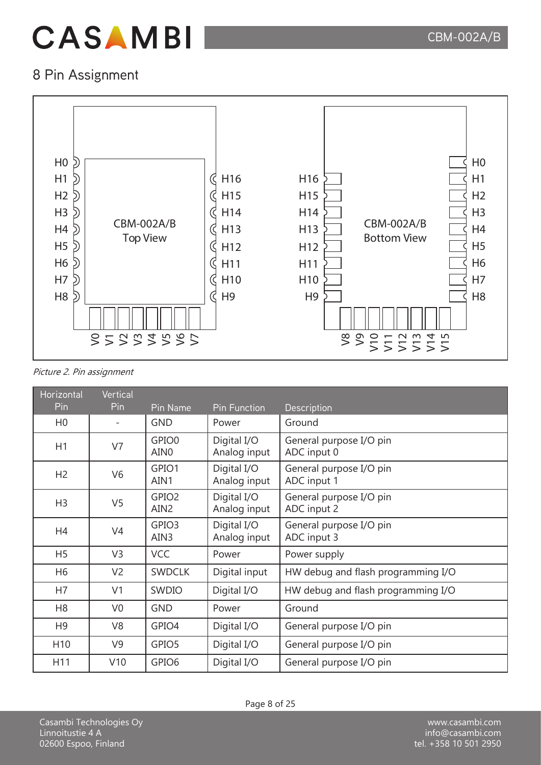### 8 Pin Assignment



#### Picture 2. Pin assignment

| Horizontal      | <b>Vertical</b> |                                       |                             |                                        |
|-----------------|-----------------|---------------------------------------|-----------------------------|----------------------------------------|
| Pin             | Pin             | Pin Name                              | <b>Pin Function</b>         | Description                            |
| H <sub>0</sub>  |                 | <b>GND</b>                            | Power                       | Ground                                 |
| H1              | V7              | GPIO0<br>AIN <sub>0</sub>             | Digital I/O<br>Analog input | General purpose I/O pin<br>ADC input 0 |
| H <sub>2</sub>  | V <sub>6</sub>  | GPIO1<br>AIN1                         | Digital I/O<br>Analog input | General purpose I/O pin<br>ADC input 1 |
| H <sub>3</sub>  | V <sub>5</sub>  | GPIO <sub>2</sub><br>AIN <sub>2</sub> | Digital I/O<br>Analog input | General purpose I/O pin<br>ADC input 2 |
| H4              | V <sub>4</sub>  | GPIO <sub>3</sub><br>AIN3             | Digital I/O<br>Analog input | General purpose I/O pin<br>ADC input 3 |
| H <sub>5</sub>  | V <sub>3</sub>  | <b>VCC</b>                            | Power                       | Power supply                           |
| H <sub>6</sub>  | V <sub>2</sub>  | <b>SWDCLK</b>                         | Digital input               | HW debug and flash programming I/O     |
| H7              | V <sub>1</sub>  | SWDIO                                 | Digital I/O                 | HW debug and flash programming I/O     |
| H <sub>8</sub>  | V <sub>0</sub>  | <b>GND</b>                            | Power                       | Ground                                 |
| H <sub>9</sub>  | V <sub>8</sub>  | GPIO4                                 | Digital I/O                 | General purpose I/O pin                |
| H <sub>10</sub> | V <sub>9</sub>  | GPIO5                                 | Digital I/O                 | General purpose I/O pin                |
| H11             | V10             | GPIO <sub>6</sub>                     | Digital I/O                 | General purpose I/O pin                |

Casambi Technologies Oy Linnoitustie 4 A 02600 Espoo, Finland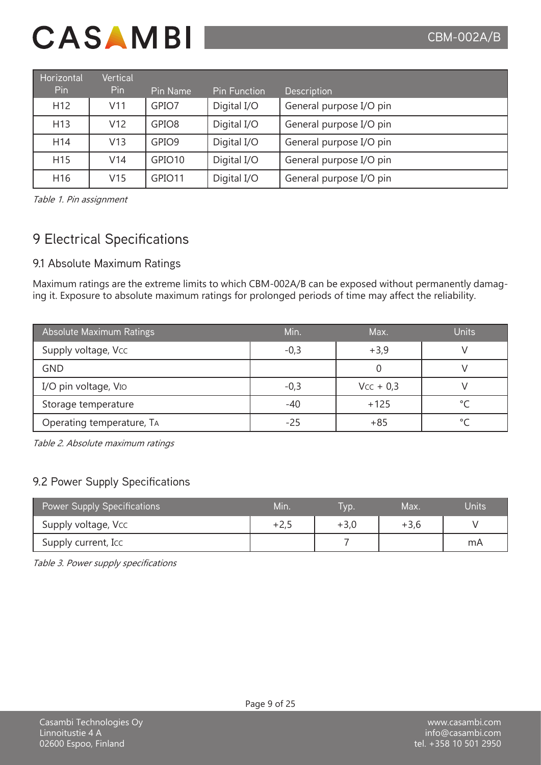| Horizontal      | Vertical |                    |                     |                         |
|-----------------|----------|--------------------|---------------------|-------------------------|
| Pin             | Pin.     | Pin Name           | <b>Pin Function</b> | <b>Description</b>      |
| H <sub>12</sub> | V11      | GPIO7              | Digital I/O         | General purpose I/O pin |
| H <sub>13</sub> | V12      | GPIO <sub>8</sub>  | Digital I/O         | General purpose I/O pin |
| H <sub>14</sub> | V13      | GPIO <sub>9</sub>  | Digital I/O         | General purpose I/O pin |
| H <sub>15</sub> | V14      | GPIO <sub>10</sub> | Digital I/O         | General purpose I/O pin |
| H <sub>16</sub> | V15      | GPIO11             | Digital I/O         | General purpose I/O pin |

Table 1. Pin assignment

### 9 Electrical Specifications

### 9.1 Absolute Maximum Ratings

Maximum ratings are the extreme limits to which CBM-002A/B can be exposed without permanently damaging it. Exposure to absolute maximum ratings for prolonged periods of time may affect the reliability.

| Absolute Maximum Ratings  | Min.   | Max.        | <b>Units</b> |
|---------------------------|--------|-------------|--------------|
| Supply voltage, Vcc       | $-0,3$ | $+3,9$      |              |
| <b>GND</b>                |        |             |              |
| I/O pin voltage, VIO      | $-0,3$ | $Vcc + 0.3$ |              |
| Storage temperature       | $-40$  | $+125$      | $\circ$      |
| Operating temperature, TA | -25    | $+85$       |              |

Table 2. Absolute maximum ratings

### 9.2 Power Supply Specifications

| <b>Power Supply Specifications</b> | Min. | VD.    | Max.   | Units |
|------------------------------------|------|--------|--------|-------|
| Supply voltage, Vcc                | +2,5 | $+3,0$ | $+3,6$ |       |
| Supply current, Icc                |      |        |        | mA    |

Table 3. Power supply specifications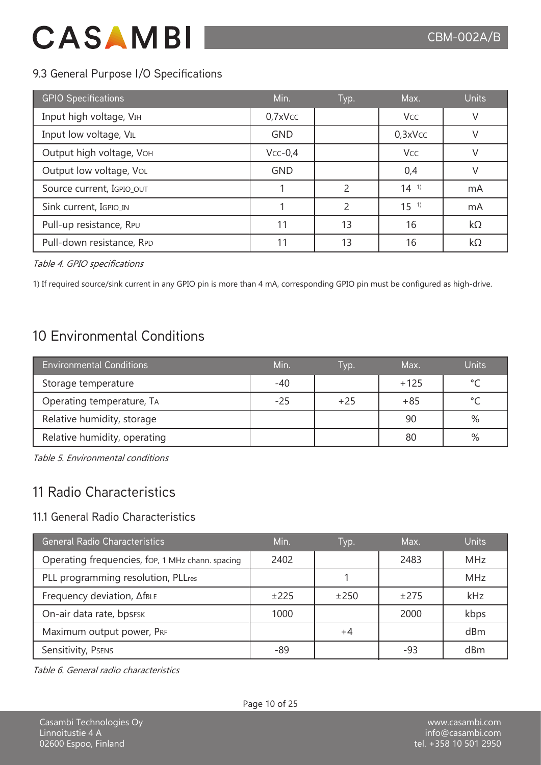### 9.3 General Purpose I/O Specifications

| <b>GPIO Specifications</b> | Min.       | Typ.           | Max.                  | <b>Units</b> |
|----------------------------|------------|----------------|-----------------------|--------------|
| Input high voltage, VIH    | $0,7x$ Vcc |                | <b>Vcc</b>            | V            |
| Input low voltage, VIL     | <b>GND</b> |                | $0,3x$ Vcc            | V            |
| Output high voltage, VOH   | $Vcc-0,4$  |                | <b>V<sub>CC</sub></b> | $\vee$       |
| Output low voltage, VoL    | <b>GND</b> |                | 0,4                   | $\vee$       |
| Source current, IGPIO_OUT  |            | $\mathfrak{D}$ | $14^{11}$             | mA           |
| Sink current, IGPIO_IN     |            | っ              | 15 <sup>1</sup>       | mA           |
| Pull-up resistance, RPU    | 11         | 13             | 16                    | kΩ           |
| Pull-down resistance, RPD  | 11         | 13             | 16                    | kΩ           |

Table 4. GPIO specifications

1) If required source/sink current in any GPIO pin is more than 4 mA, corresponding GPIO pin must be configured as high-drive.

### 10 Environmental Conditions

| <b>Environmental Conditions</b> | Min.  | I vp. | Max.   | <b>Units</b> |
|---------------------------------|-------|-------|--------|--------------|
| Storage temperature             | $-40$ |       | $+125$ | $\circ$      |
| Operating temperature, TA       | $-25$ | $+25$ | $+85$  | $\sim$       |
| Relative humidity, storage      |       |       | 90     | %            |
| Relative humidity, operating    |       |       | 80     | %            |

Table 5. Environmental conditions

### 11 Radio Characteristics

### 11.1 General Radio Characteristics

| <b>General Radio Characteristics</b>             | Min. | Typ.   | Max.   | <b>Units</b> |
|--------------------------------------------------|------|--------|--------|--------------|
| Operating frequencies, fop, 1 MHz chann. spacing | 2402 |        | 2483   | <b>MHz</b>   |
| PLL programming resolution, PLLres               |      |        |        | <b>MHz</b>   |
| Frequency deviation, AfBLE                       | ±225 | $+250$ | $+275$ | kHz          |
| On-air data rate, bpsFSK                         | 1000 |        | 2000   | kbps         |
| Maximum output power, PRF                        |      | $+4$   |        | dBm          |
| Sensitivity, PSENS                               | -89  |        | -93    | dBm          |

Table 6. General radio characteristics

Page 10 of 25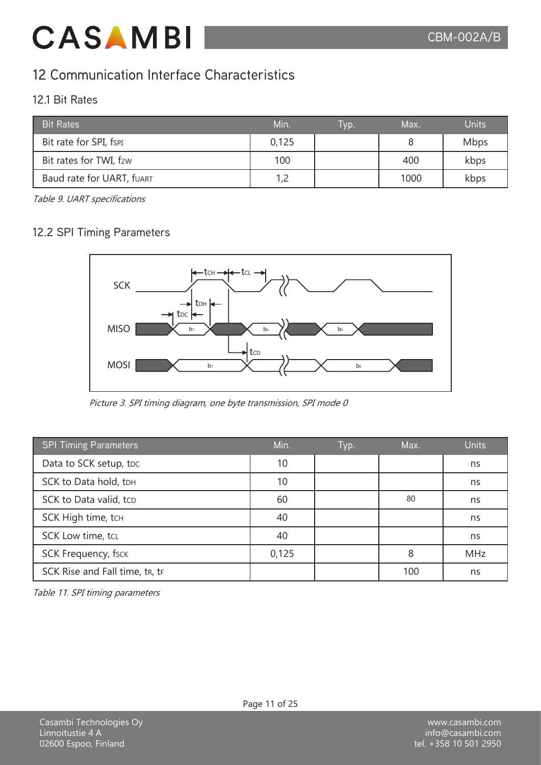### 12 Communication Interface Characteristics

### 12.1 Bit Rates

| <b>Bit Rates</b>          | Min.  | Tvp. | Max. | <b>Units</b> |
|---------------------------|-------|------|------|--------------|
| Bit rate for SPI, fspi    | 0,125 |      |      | <b>Mbps</b>  |
| Bit rates for TWI, f2w    | 100   |      | 400  | kbps         |
| Baud rate for UART, fUART | 1,2   |      | 1000 | kbps         |

Table 9. UART specifications

### 12.2 SPI Timing Parameters



Picture 3. SPI timing diagram, one byte transmission, SPI mode 0

| <b>SPI Timing Parameters</b>   | Min.  | Typ. | Max. | <b>Units</b> |
|--------------------------------|-------|------|------|--------------|
| Data to SCK setup, tDC         | 10    |      |      | ns           |
| SCK to Data hold, tDH          | 10    |      |      | ns           |
| SCK to Data valid, tcp         | 60    |      | 80   | ns           |
| SCK High time, tcH             | 40    |      |      | ns           |
| SCK Low time, tcL              | 40    |      |      | ns           |
| <b>SCK Frequency, fsck</b>     | 0,125 |      | 8    | <b>MHz</b>   |
| SCK Rise and Fall time, tr, tr |       |      | 100  | ns           |

Table 11. SPI timing parameters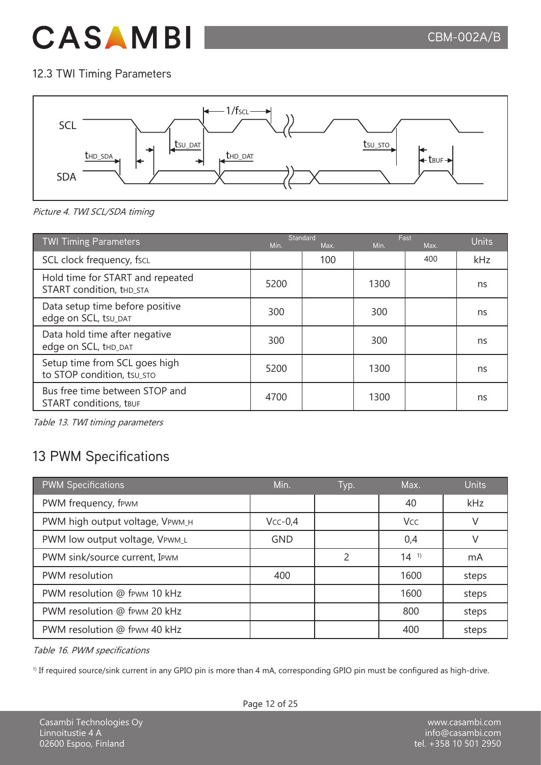### 12.3 TWI Timing Parameters



Picture 4. TWI SCL/SDA timing

| <b>TWI Timing Parameters</b>                                    | Min. | Standard<br>Max. | Min. | Fast<br>Max. | <b>Units</b> |
|-----------------------------------------------------------------|------|------------------|------|--------------|--------------|
| SCL clock frequency, fscL                                       |      | 100              |      | 400          | kHz          |
| Hold time for START and repeated<br>START condition, thd_STA    | 5200 |                  | 1300 |              | ns           |
| Data setup time before positive<br>edge on SCL, tsu_DAT         | 300  |                  | 300  |              | ns           |
| Data hold time after negative<br>edge on SCL, tHD_DAT           | 300  |                  | 300  |              | ns           |
| Setup time from SCL goes high<br>to STOP condition, tsu sto     | 5200 |                  | 1300 |              | ns           |
| Bus free time between STOP and<br><b>START</b> conditions, tBUF | 4700 |                  | 1300 |              | ns           |

Table 13. TWI timing parameters

## 13 PWM Specifications

| <b>PWM Specifications</b>       | Min.       | Typ. | Max.      | <b>Units</b> |
|---------------------------------|------------|------|-----------|--------------|
| PWM frequency, fewm             |            |      | 40        | kHz          |
| PWM high output voltage, VPWM_H | $Vcc-0,4$  |      | Vcc       | V            |
| PWM low output voltage, VPWM_L  | <b>GND</b> |      | 0,4       |              |
| PWM sink/source current, IPWM   |            | 2    | $14^{11}$ | mA           |
| PWM resolution                  | 400        |      | 1600      | steps        |
| PWM resolution @ fpwm 10 kHz    |            |      | 1600      | steps        |
| PWM resolution @ fewm 20 kHz    |            |      | 800       | steps        |
| PWM resolution @ fpwm 40 kHz    |            |      | 400       | steps        |

Table 16. PWM specifications

<sup>1)</sup> If required source/sink current in any GPIO pin is more than 4 mA, corresponding GPIO pin must be configured as high-drive.

Page 12 of 25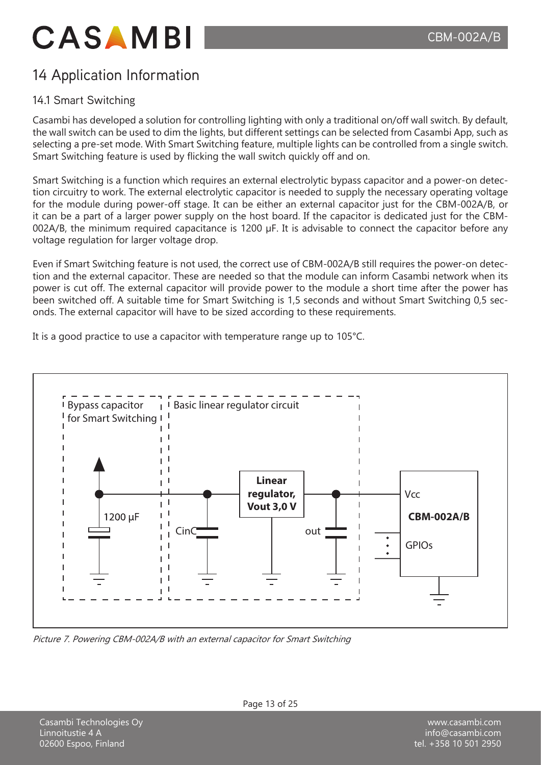## 14 Application Information

### 14.1 Smart Switching

Casambi has developed a solution for controlling lighting with only a traditional on/off wall switch. By default, the wall switch can be used to dim the lights, but different settings can be selected from Casambi App, such as selecting a pre-set mode. With Smart Switching feature, multiple lights can be controlled from a single switch. Smart Switching feature is used by flicking the wall switch quickly off and on.

Smart Switching is a function which requires an external electrolytic bypass capacitor and a power-on detection circuitry to work. The external electrolytic capacitor is needed to supply the necessary operating voltage for the module during power-off stage. It can be either an external capacitor just for the CBM-002A/B, or it can be a part of a larger power supply on the host board. If the capacitor is dedicated just for the CBM-002A/B, the minimum required capacitance is 1200 µF. It is advisable to connect the capacitor before any voltage regulation for larger voltage drop.

Even if Smart Switching feature is not used, the correct use of CBM-002A/B still requires the power-on detection and the external capacitor. These are needed so that the module can inform Casambi network when its power is cut off. The external capacitor will provide power to the module a short time after the power has been switched off. A suitable time for Smart Switching is 1,5 seconds and without Smart Switching 0,5 seconds. The external capacitor will have to be sized according to these requirements.

It is a good practice to use a capacitor with temperature range up to 105°C.



Picture 7. Powering CBM-002A/B with an external capacitor for Smart Switching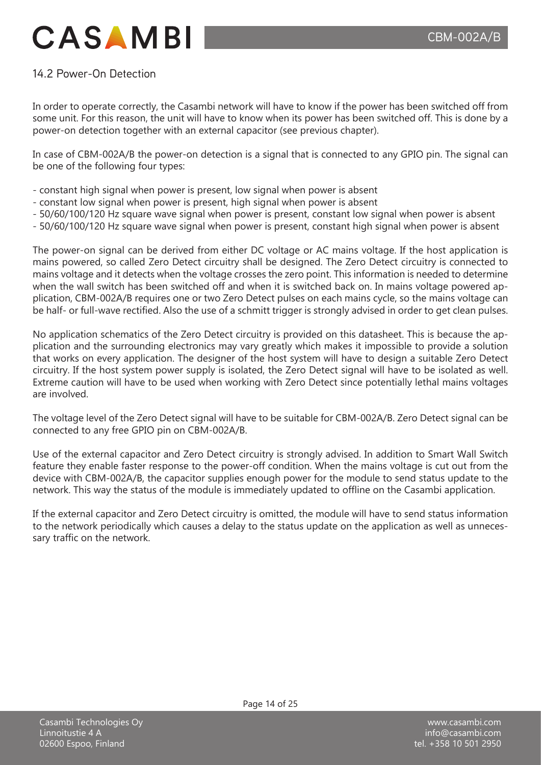### 14.2 Power-On Detection

In order to operate correctly, the Casambi network will have to know if the power has been switched off from some unit. For this reason, the unit will have to know when its power has been switched off. This is done by a power-on detection together with an external capacitor (see previous chapter).

In case of CBM-002A/B the power-on detection is a signal that is connected to any GPIO pin. The signal can be one of the following four types:

- constant high signal when power is present, low signal when power is absent
- constant low signal when power is present, high signal when power is absent
- 50/60/100/120 Hz square wave signal when power is present, constant low signal when power is absent
- 50/60/100/120 Hz square wave signal when power is present, constant high signal when power is absent

The power-on signal can be derived from either DC voltage or AC mains voltage. If the host application is mains powered, so called Zero Detect circuitry shall be designed. The Zero Detect circuitry is connected to mains voltage and it detects when the voltage crosses the zero point. This information is needed to determine when the wall switch has been switched off and when it is switched back on. In mains voltage powered application, CBM-002A/B requires one or two Zero Detect pulses on each mains cycle, so the mains voltage can be half- or full-wave rectified. Also the use of a schmitt trigger is strongly advised in order to get clean pulses.

No application schematics of the Zero Detect circuitry is provided on this datasheet. This is because the application and the surrounding electronics may vary greatly which makes it impossible to provide a solution that works on every application. The designer of the host system will have to design a suitable Zero Detect circuitry. If the host system power supply is isolated, the Zero Detect signal will have to be isolated as well. Extreme caution will have to be used when working with Zero Detect since potentially lethal mains voltages are involved.

The voltage level of the Zero Detect signal will have to be suitable for CBM-002A/B. Zero Detect signal can be connected to any free GPIO pin on CBM-002A/B.

Use of the external capacitor and Zero Detect circuitry is strongly advised. In addition to Smart Wall Switch feature they enable faster response to the power-off condition. When the mains voltage is cut out from the device with CBM-002A/B, the capacitor supplies enough power for the module to send status update to the network. This way the status of the module is immediately updated to offline on the Casambi application.

If the external capacitor and Zero Detect circuitry is omitted, the module will have to send status information to the network periodically which causes a delay to the status update on the application as well as unnecessary traffic on the network.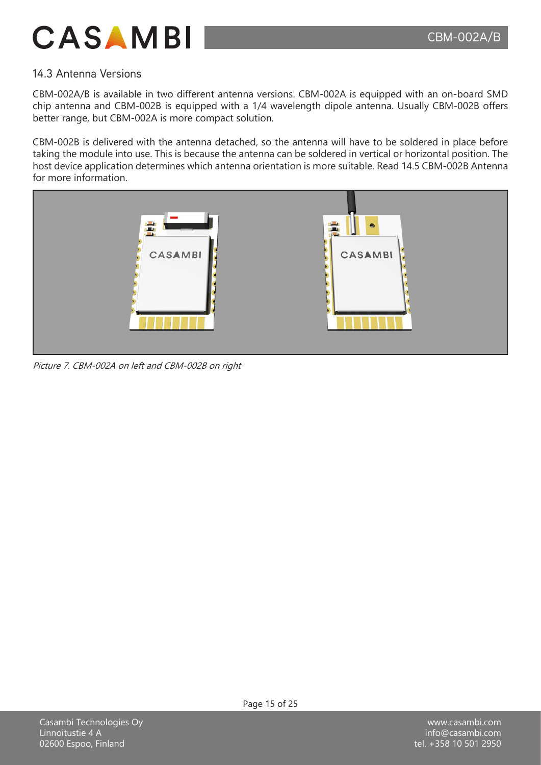

### 14.3 Antenna Versions

CBM-002A/B is available in two different antenna versions. CBM-002A is equipped with an on-board SMD chip antenna and CBM-002B is equipped with a 1/4 wavelength dipole antenna. Usually CBM-002B offers better range, but CBM-002A is more compact solution.

CBM-002B is delivered with the antenna detached, so the antenna will have to be soldered in place before taking the module into use. This is because the antenna can be soldered in vertical or horizontal position. The host device application determines which antenna orientation is more suitable. Read 14.5 CBM-002B Antenna for more information.



Picture 7. CBM-002A on left and CBM-002B on right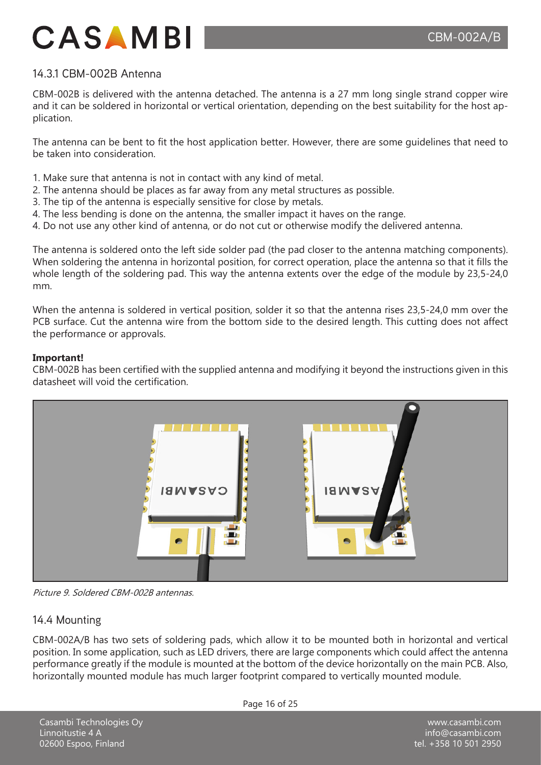### 14.3.1 CBM-002B Antenna

CBM-002B is delivered with the antenna detached. The antenna is a 27 mm long single strand copper wire and it can be soldered in horizontal or vertical orientation, depending on the best suitability for the host application.

The antenna can be bent to fit the host application better. However, there are some guidelines that need to be taken into consideration.

- 1. Make sure that antenna is not in contact with any kind of metal.
- 2. The antenna should be places as far away from any metal structures as possible.
- 3. The tip of the antenna is especially sensitive for close by metals.
- 4. The less bending is done on the antenna, the smaller impact it haves on the range.
- 4. Do not use any other kind of antenna, or do not cut or otherwise modify the delivered antenna.

The antenna is soldered onto the left side solder pad (the pad closer to the antenna matching components). When soldering the antenna in horizontal position, for correct operation, place the antenna so that it fills the whole length of the soldering pad. This way the antenna extents over the edge of the module by 23,5-24,0 mm.

When the antenna is soldered in vertical position, solder it so that the antenna rises 23,5-24,0 mm over the PCB surface. Cut the antenna wire from the bottom side to the desired length. This cutting does not affect the performance or approvals.

#### **Important!**

CBM-002B has been certified with the supplied antenna and modifying it beyond the instructions given in this datasheet will void the certification.



Picture 9. Soldered CBM-002B antennas.

#### 14.4 Mounting

CBM-002A/B has two sets of soldering pads, which allow it to be mounted both in horizontal and vertical position. In some application, such as LED drivers, there are large components which could affect the antenna performance greatly if the module is mounted at the bottom of the device horizontally on the main PCB. Also, horizontally mounted module has much larger footprint compared to vertically mounted module.

Casambi Technologies Oy Linnoitustie 4 A 02600 Espoo, Finland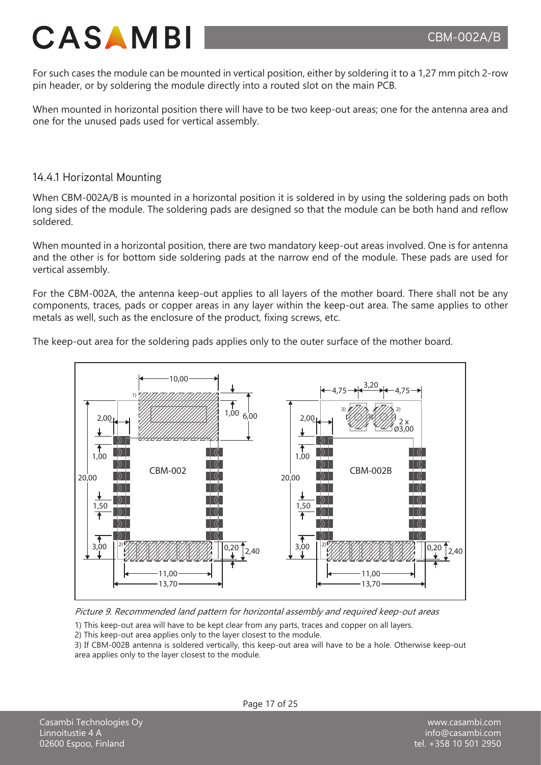

For such cases the module can be mounted in vertical position, either by soldering it to a 1,27 mm pitch 2-row pin header, or by soldering the module directly into a routed slot on the main PCB.

When mounted in horizontal position there will have to be two keep-out areas; one for the antenna area and one for the unused pads used for vertical assembly.

### 14.4.1 Horizontal Mounting

When CBM-002A/B is mounted in a horizontal position it is soldered in by using the soldering pads on both long sides of the module. The soldering pads are designed so that the module can be both hand and reflow soldered.

When mounted in a horizontal position, there are two mandatory keep-out areas involved. One is for antenna and the other is for bottom side soldering pads at the narrow end of the module. These pads are used for vertical assembly.

For the CBM-002A, the antenna keep-out applies to all layers of the mother board. There shall not be any components, traces, pads or copper areas in any layer within the keep-out area. The same applies to other metals as well, such as the enclosure of the product, fixing screws, etc.

The keep-out area for the soldering pads applies only to the outer surface of the mother board.



Picture 9. Recommended land pattern for horizontal assembly and required keep-out areas

- 1) This keep-out area will have to be kept clear from any parts, traces and copper on all layers.
- 2) This keep-out area applies only to the layer closest to the module.

3) If CBM-002B antenna is soldered vertically, this keep-out area will have to be a hole. Otherwise keep-out area applies only to the layer closest to the module.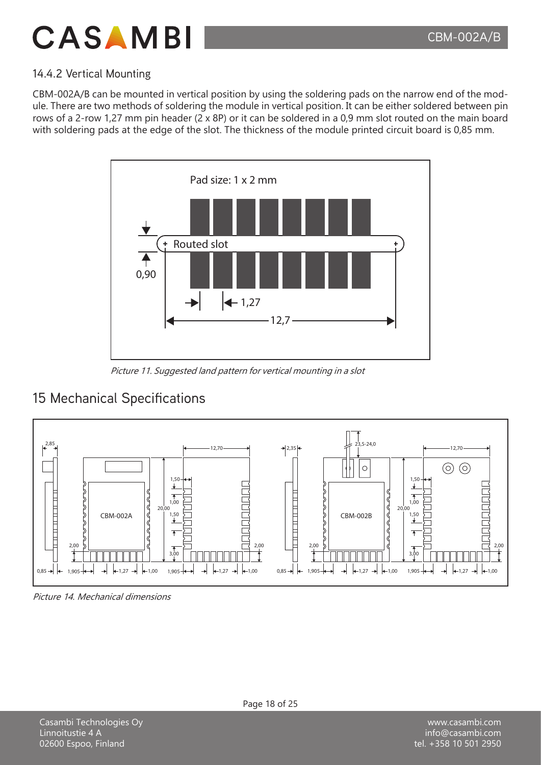

### 14.4.2 Vertical Mounting

CBM-002A/B can be mounted in vertical position by using the soldering pads on the narrow end of the module. There are two methods of soldering the module in vertical position. It can be either soldered between pin rows of a 2-row 1,27 mm pin header (2 x 8P) or it can be soldered in a 0,9 mm slot routed on the main board with soldering pads at the edge of the slot. The thickness of the module printed circuit board is 0,85 mm.



Picture 11. Suggested land pattern for vertical mounting in a slot

### 15 Mechanical Specifications



Picture 14. Mechanical dimensions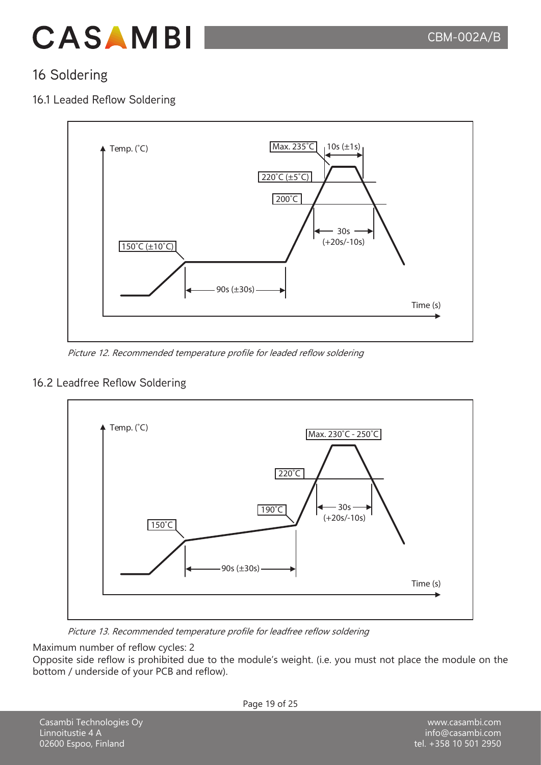

### 16 Soldering

### 16.1 Leaded Reflow Soldering



Picture 12. Recommended temperature profile for leaded reflow soldering

### 16.2 Leadfree Reflow Soldering



Picture 13. Recommended temperature profile for leadfree reflow soldering

Maximum number of reflow cycles: 2

Opposite side reflow is prohibited due to the module's weight. (i.e. you must not place the module on the bottom / underside of your PCB and reflow).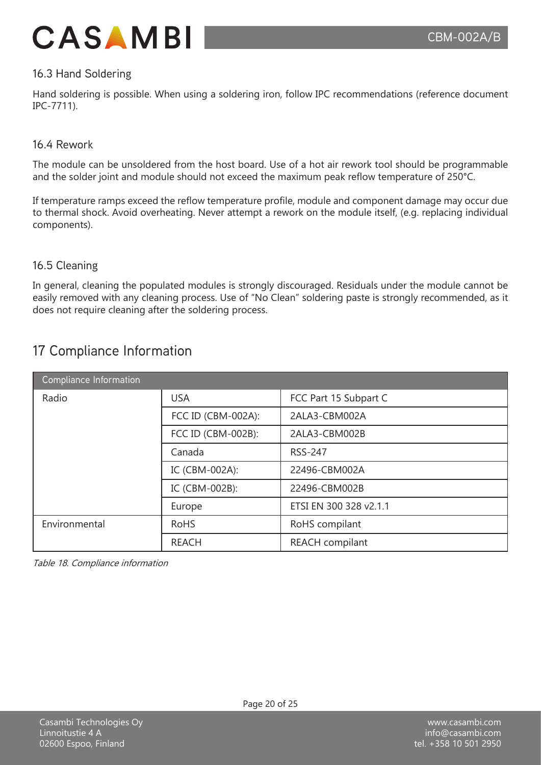

### 16.3 Hand Soldering

Hand soldering is possible. When using a soldering iron, follow IPC recommendations (reference document IPC-7711).

#### 16.4 Rework

The module can be unsoldered from the host board. Use of a hot air rework tool should be programmable and the solder joint and module should not exceed the maximum peak reflow temperature of 250°C.

If temperature ramps exceed the reflow temperature profile, module and component damage may occur due to thermal shock. Avoid overheating. Never attempt a rework on the module itself, (e.g. replacing individual components).

#### 16.5 Cleaning

In general, cleaning the populated modules is strongly discouraged. Residuals under the module cannot be easily removed with any cleaning process. Use of "No Clean" soldering paste is strongly recommended, as it does not require cleaning after the soldering process.

### 17 Compliance Information

| Compliance Information |                    |                        |
|------------------------|--------------------|------------------------|
| Radio                  | <b>USA</b>         | FCC Part 15 Subpart C  |
|                        | FCC ID (CBM-002A): | 2ALA3-CBM002A          |
|                        | FCC ID (CBM-002B): | 2ALA3-CBM002B          |
|                        | Canada             | <b>RSS-247</b>         |
|                        | IC (CBM-002A):     | 22496-CBM002A          |
|                        | IC (CBM-002B):     | 22496-CBM002B          |
|                        | Europe             | ETSI EN 300 328 v2.1.1 |
| Environmental          | <b>RoHS</b>        | RoHS compilant         |
|                        | <b>REACH</b>       | REACH compilant        |

Table 18. Compliance information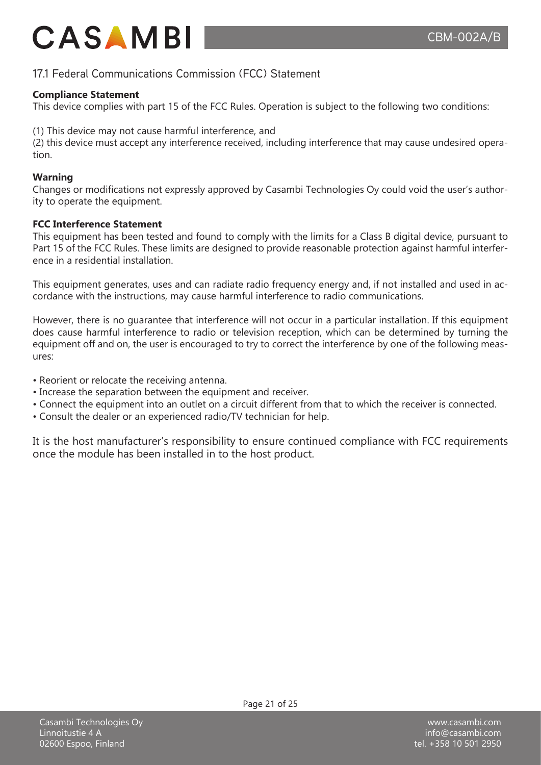### 17.1 Federal Communications Commission (FCC) Statement

### **Compliance Statement**

This device complies with part 15 of the FCC Rules. Operation is subject to the following two conditions:

(1) This device may not cause harmful interference, and

(2) this device must accept any interference received, including interference that may cause undesired operation.

### **Warning**

Changes or modifications not expressly approved by Casambi Technologies Oy could void the user's authority to operate the equipment.

### **FCC Interference Statement**

This equipment has been tested and found to comply with the limits for a Class B digital device, pursuant to Part 15 of the FCC Rules. These limits are designed to provide reasonable protection against harmful interference in a residential installation.

This equipment generates, uses and can radiate radio frequency energy and, if not installed and used in accordance with the instructions, may cause harmful interference to radio communications.

However, there is no guarantee that interference will not occur in a particular installation. If this equipment does cause harmful interference to radio or television reception, which can be determined by turning the equipment off and on, the user is encouraged to try to correct the interference by one of the following measures:

- Reorient or relocate the receiving antenna.
- Increase the separation between the equipment and receiver.
- Connect the equipment into an outlet on a circuit different from that to which the receiver is connected.
- Consult the dealer or an experienced radio/TV technician for help.

It is the host manufacturer's responsibility to ensure continued compliance with FCC requirements once the module has been installed in to the host product.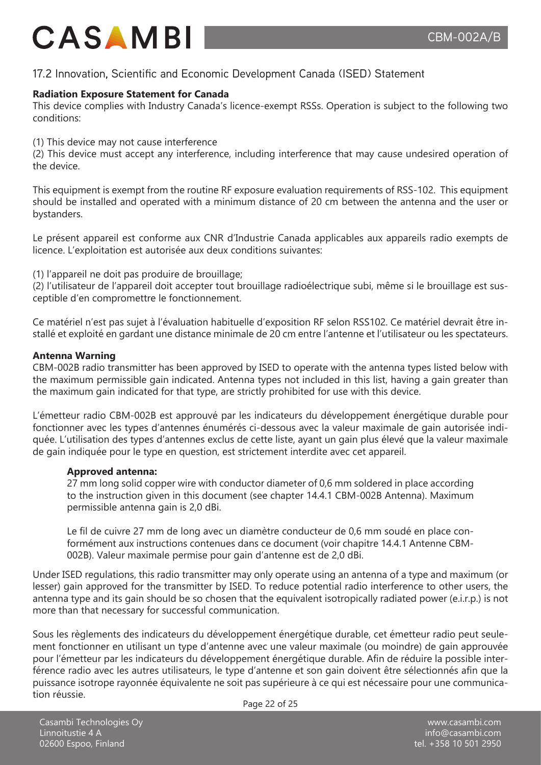### 17.2 Innovation, Scientific and Economic Development Canada (ISED) Statement

### **Radiation Exposure Statement for Canada**

This device complies with Industry Canada's licence-exempt RSSs. Operation is subject to the following two conditions:

(1) This device may not cause interference

(2) This device must accept any interference, including interference that may cause undesired operation of the device.

This equipment is exempt from the routine RF exposure evaluation requirements of RSS-102. This equipment should be installed and operated with a minimum distance of 20 cm between the antenna and the user or bystanders.

Le présent appareil est conforme aux CNR d'Industrie Canada applicables aux appareils radio exempts de licence. L'exploitation est autorisée aux deux conditions suivantes:

(1) l'appareil ne doit pas produire de brouillage;

(2) l'utilisateur de l'appareil doit accepter tout brouillage radioélectrique subi, même si le brouillage est susceptible d'en compromettre le fonctionnement.

Ce matériel n'est pas sujet à l'évaluation habituelle d'exposition RF selon RSS102. Ce matériel devrait être installé et exploité en gardant une distance minimale de 20 cm entre l'antenne et l'utilisateur ou les spectateurs.

#### **Antenna Warning**

CBM-002B radio transmitter has been approved by ISED to operate with the antenna types listed below with the maximum permissible gain indicated. Antenna types not included in this list, having a gain greater than the maximum gain indicated for that type, are strictly prohibited for use with this device.

L'émetteur radio CBM-002B est approuvé par les indicateurs du développement énergétique durable pour fonctionner avec les types d'antennes énumérés ci-dessous avec la valeur maximale de gain autorisée indiquée. L'utilisation des types d'antennes exclus de cette liste, ayant un gain plus élevé que la valeur maximale de gain indiquée pour le type en question, est strictement interdite avec cet appareil.

#### **Approved antenna:**

27 mm long solid copper wire with conductor diameter of 0,6 mm soldered in place according to the instruction given in this document (see chapter 14.4.1 CBM-002B Antenna). Maximum permissible antenna gain is 2,0 dBi.

Le fil de cuivre 27 mm de long avec un diamètre conducteur de 0,6 mm soudé en place conformément aux instructions contenues dans ce document (voir chapitre 14.4.1 Antenne CBM-002B). Valeur maximale permise pour gain d'antenne est de 2,0 dBi.

Under ISED regulations, this radio transmitter may only operate using an antenna of a type and maximum (or lesser) gain approved for the transmitter by ISED. To reduce potential radio interference to other users, the antenna type and its gain should be so chosen that the equivalent isotropically radiated power (e.i.r.p.) is not more than that necessary for successful communication.

Sous les règlements des indicateurs du développement énergétique durable, cet émetteur radio peut seulement fonctionner en utilisant un type d'antenne avec une valeur maximale (ou moindre) de gain approuvée pour l'émetteur par les indicateurs du développement énergétique durable. Afin de réduire la possible interférence radio avec les autres utilisateurs, le type d'antenne et son gain doivent être sélectionnés afin que la puissance isotrope rayonnée équivalente ne soit pas supérieure à ce qui est nécessaire pour une communication réussie.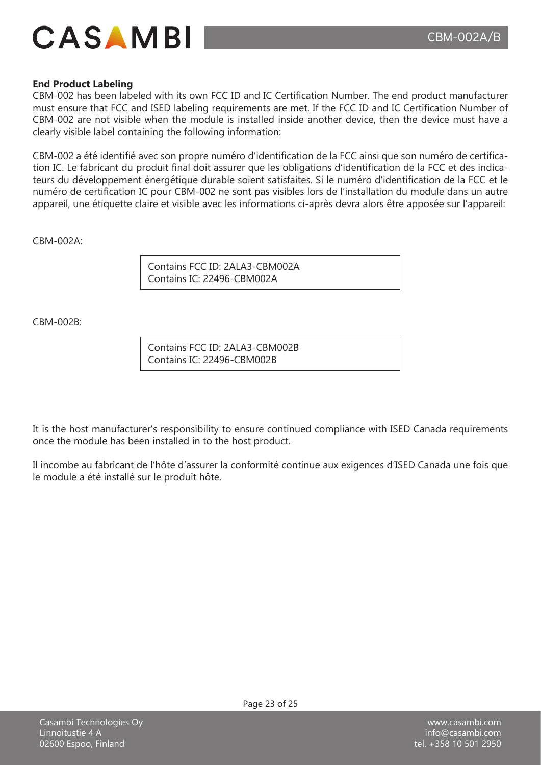

#### **End Product Labeling**

CBM-002 has been labeled with its own FCC ID and IC Certification Number. The end product manufacturer must ensure that FCC and ISED labeling requirements are met. If the FCC ID and IC Certification Number of CBM-002 are not visible when the module is installed inside another device, then the device must have a clearly visible label containing the following information:

CBM-002 a été identifié avec son propre numéro d'identification de la FCC ainsi que son numéro de certification IC. Le fabricant du produit final doit assurer que les obligations d'identification de la FCC et des indicateurs du développement énergétique durable soient satisfaites. Si le numéro d'identification de la FCC et le numéro de certification IC pour CBM-002 ne sont pas visibles lors de l'installation du module dans un autre appareil, une étiquette claire et visible avec les informations ci-après devra alors être apposée sur l'appareil:

 $CHM-002A$ 

Contains FCC ID: 2ALA3-CBM002A Contains IC: 22496-CBM002A

 $CRM-002B$ 

Contains FCC ID: 2ALA3-CBM002B Contains IC: 22496-CBM002B

It is the host manufacturer's responsibility to ensure continued compliance with ISED Canada requirements once the module has been installed in to the host product.

Il incombe au fabricant de l'hôte d'assurer la conformité continue aux exigences d'ISED Canada une fois que le module a été installé sur le produit hôte.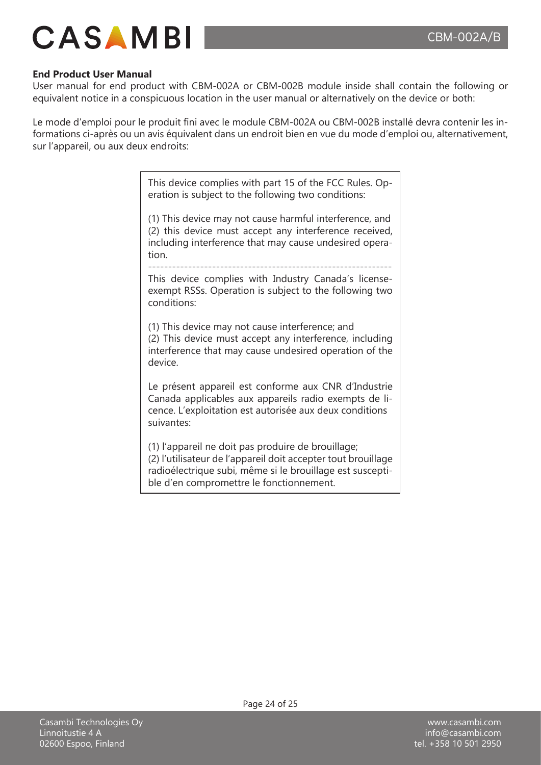

#### **End Product User Manual**

User manual for end product with CBM-002A or CBM-002B module inside shall contain the following or equivalent notice in a conspicuous location in the user manual or alternatively on the device or both:

Le mode d'emploi pour le produit fini avec le module CBM-002A ou CBM-002B installé devra contenir les informations ci-après ou un avis équivalent dans un endroit bien en vue du mode d'emploi ou, alternativement, sur l'appareil, ou aux deux endroits:

> This device complies with part 15 of the FCC Rules. Operation is subject to the following two conditions:

> (1) This device may not cause harmful interference, and (2) this device must accept any interference received, including interference that may cause undesired operation.

> ------------------------------------------------------------- This device complies with Industry Canada's licenseexempt RSSs. Operation is subject to the following two conditions:

> (1) This device may not cause interference; and (2) This device must accept any interference, including interference that may cause undesired operation of the device.

> Le présent appareil est conforme aux CNR d'Industrie Canada applicables aux appareils radio exempts de licence. L'exploitation est autorisée aux deux conditions suivantes:

> (1) l'appareil ne doit pas produire de brouillage; (2) l'utilisateur de l'appareil doit accepter tout brouillage radioélectrique subi, même si le brouillage est susceptible d'en compromettre le fonctionnement.